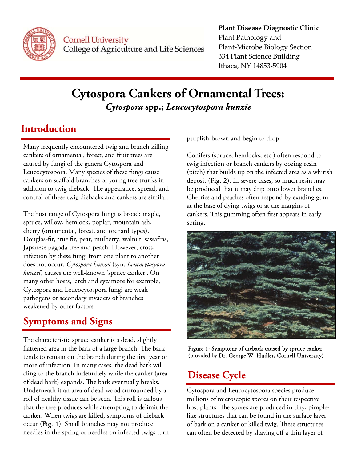

**Cornell University** College of Agriculture and Life Sciences

#### **Plant Disease Diagnostic Clinic** Plant Pathology and Plant‐Microbe Biology Section 334 Plant Science Building Ithaca, NY 14853‐5904

## **Cytospora Cankers of Ornamental Trees:**  *Cytospora* **spp.;** *Leucocytospora kunzie*

### **Introduction**

Many frequently encountered twig and branch killing cankers of ornamental, forest, and fruit trees are caused by fungi of the genera Cytospora and Leucocytospora. Many species of these fungi cause cankers on scaffold branches or young tree trunks in addition to twig dieback. The appearance, spread, and control of these twig diebacks and cankers are similar.

The host range of Cytospora fungi is broad: maple, spruce, willow, hemlock, poplar, mountain ash, cherry (ornamental, forest, and orchard types), Douglas-fir, true fir, pear, mulberry, walnut, sassafras, Japanese pagoda tree and peach. However, crossinfection by these fungi from one plant to another does not occur. *Cytospora kunzei* (syn. *Leucocytospora kunzei*) causes the well-known 'spruce canker'. On many other hosts, larch and sycamore for example, Cytospora and Leucocytospora fungi are weak pathogens or secondary invaders of branches weakened by other factors.

# **Symptoms and Signs**

The characteristic spruce canker is a dead, slightly flattened area in the bark of a large branch. The bark tends to remain on the branch during the first year or more of infection. In many cases, the dead bark will cling to the branch indefinitely while the canker (area of dead bark) expands. The bark eventually breaks. Underneath it an area of dead wood surrounded by a roll of healthy tissue can be seen. This roll is callous that the tree produces while attempting to delimit the canker. When twigs are killed, symptoms of dieback occur (Fig. 1). Small branches may not produce needles in the spring or needles on infected twigs turn purplish-brown and begin to drop.

Conifers (spruce, hemlocks, etc.) often respond to twig infection or branch cankers by oozing resin (pitch) that builds up on the infected area as a whitish deposit (Fig. 2). In severe cases, so much resin may be produced that it may drip onto lower branches. Cherries and peaches often respond by exuding gum at the base of dying twigs or at the margins of cankers. This gumming often first appears in early spring.



Figure 1: Symptoms of dieback caused by spruce canker (provided by Dr. George W. Hudler, Cornell University)

## **Disease Cycle**

Cytospora and Leucocytospora species produce millions of microscopic spores on their respective host plants. The spores are produced in tiny, pimplelike structures that can be found in the surface layer of bark on a canker or killed twig. These structures can often be detected by shaving off a thin layer of